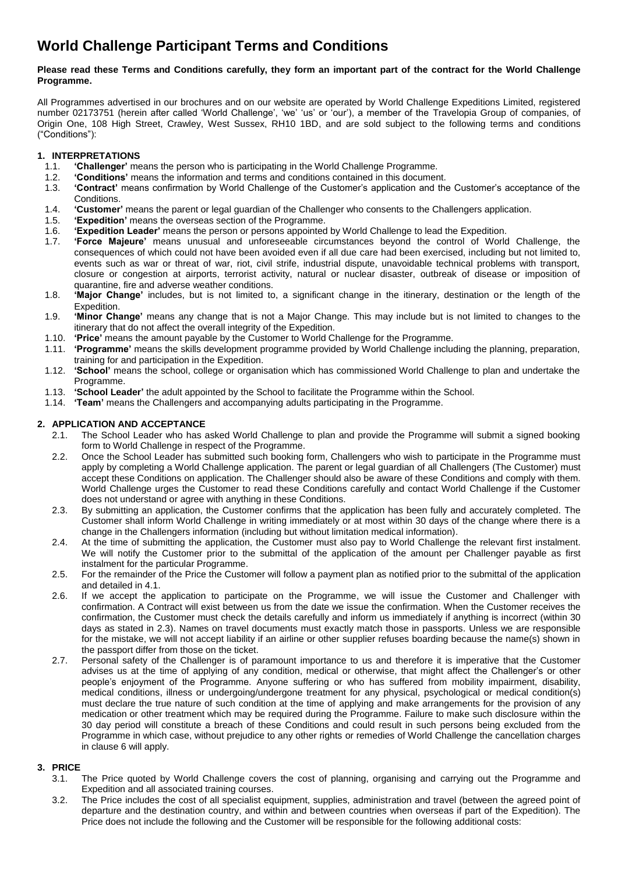# **World Challenge Participant Terms and Conditions**

**Please read these Terms and Conditions carefully, they form an important part of the contract for the World Challenge Programme.**

All Programmes advertised in our brochures and on our website are operated by World Challenge Expeditions Limited, registered number 02173751 (herein after called 'World Challenge', 'we' 'us' or 'our'), a member of the Travelopia Group of companies, of Origin One, 108 High Street, Crawley, West Sussex, RH10 1BD, and are sold subject to the following terms and conditions ("Conditions"):

# **1. INTERPRETATIONS**

- 1.1. **'Challenger'** means the person who is participating in the World Challenge Programme.
- 1.2. **'Conditions'** means the information and terms and conditions contained in this document.
- 1.3. **'Contract'** means confirmation by World Challenge of the Customer's application and the Customer's acceptance of the Conditions.
- 1.4. **'Customer'** means the parent or legal guardian of the Challenger who consents to the Challengers application.<br>1.5. **'Expedition'** means the overseas section of the Programme.
- 1.5. **'Expedition'** means the overseas section of the Programme.
- 1.6. **'Expedition Leader'** means the person or persons appointed by World Challenge to lead the Expedition.
- 1.7. **'Force Majeure'** means unusual and unforeseeable circumstances beyond the control of World Challenge, the consequences of which could not have been avoided even if all due care had been exercised, including but not limited to, events such as war or threat of war, riot, civil strife, industrial dispute, unavoidable technical problems with transport, closure or congestion at airports, terrorist activity, natural or nuclear disaster, outbreak of disease or imposition of quarantine, fire and adverse weather conditions.
- 1.8. **'Major Change'** includes, but is not limited to, a significant change in the itinerary, destination or the length of the **Expedition**
- 1.9. **'Minor Change'** means any change that is not a Major Change. This may include but is not limited to changes to the itinerary that do not affect the overall integrity of the Expedition.
- 1.10. **'Price'** means the amount payable by the Customer to World Challenge for the Programme.
- 1.11. **'Programme'** means the skills development programme provided by World Challenge including the planning, preparation, training for and participation in the Expedition.
- 1.12. **'School'** means the school, college or organisation which has commissioned World Challenge to plan and undertake the Programme.
- 1.13. **'School Leader'** the adult appointed by the School to facilitate the Programme within the School.
- 1.14. **'Team'** means the Challengers and accompanying adults participating in the Programme.

## **2. APPLICATION AND ACCEPTANCE**

- 2.1. The School Leader who has asked World Challenge to plan and provide the Programme will submit a signed booking form to World Challenge in respect of the Programme.
- 2.2. Once the School Leader has submitted such booking form, Challengers who wish to participate in the Programme must apply by completing a World Challenge application. The parent or legal guardian of all Challengers (The Customer) must accept these Conditions on application. The Challenger should also be aware of these Conditions and comply with them. World Challenge urges the Customer to read these Conditions carefully and contact World Challenge if the Customer does not understand or agree with anything in these Conditions.
- 2.3. By submitting an application, the Customer confirms that the application has been fully and accurately completed. The Customer shall inform World Challenge in writing immediately or at most within 30 days of the change where there is a change in the Challengers information (including but without limitation medical information).
- 2.4. At the time of submitting the application, the Customer must also pay to World Challenge the relevant first instalment. We will notify the Customer prior to the submittal of the application of the amount per Challenger payable as first instalment for the particular Programme.
- 2.5. For the remainder of the Price the Customer will follow a payment plan as notified prior to the submittal of the application and detailed in 4.1.
- 2.6. If we accept the application to participate on the Programme, we will issue the Customer and Challenger with confirmation. A Contract will exist between us from the date we issue the confirmation. When the Customer receives the confirmation, the Customer must check the details carefully and inform us immediately if anything is incorrect (within 30 days as stated in 2.3). Names on travel documents must exactly match those in passports. Unless we are responsible for the mistake, we will not accept liability if an airline or other supplier refuses boarding because the name(s) shown in the passport differ from those on the ticket.
- 2.7. Personal safety of the Challenger is of paramount importance to us and therefore it is imperative that the Customer advises us at the time of applying of any condition, medical or otherwise, that might affect the Challenger's or other people's enjoyment of the Programme. Anyone suffering or who has suffered from mobility impairment, disability, medical conditions, illness or undergoing/undergone treatment for any physical, psychological or medical condition(s) must declare the true nature of such condition at the time of applying and make arrangements for the provision of any medication or other treatment which may be required during the Programme. Failure to make such disclosure within the 30 day period will constitute a breach of these Conditions and could result in such persons being excluded from the Programme in which case, without prejudice to any other rights or remedies of World Challenge the cancellation charges in clause 6 will apply.

## **3. PRICE**

- 3.1. The Price quoted by World Challenge covers the cost of planning, organising and carrying out the Programme and Expedition and all associated training courses.
- 3.2. The Price includes the cost of all specialist equipment, supplies, administration and travel (between the agreed point of departure and the destination country, and within and between countries when overseas if part of the Expedition). The Price does not include the following and the Customer will be responsible for the following additional costs: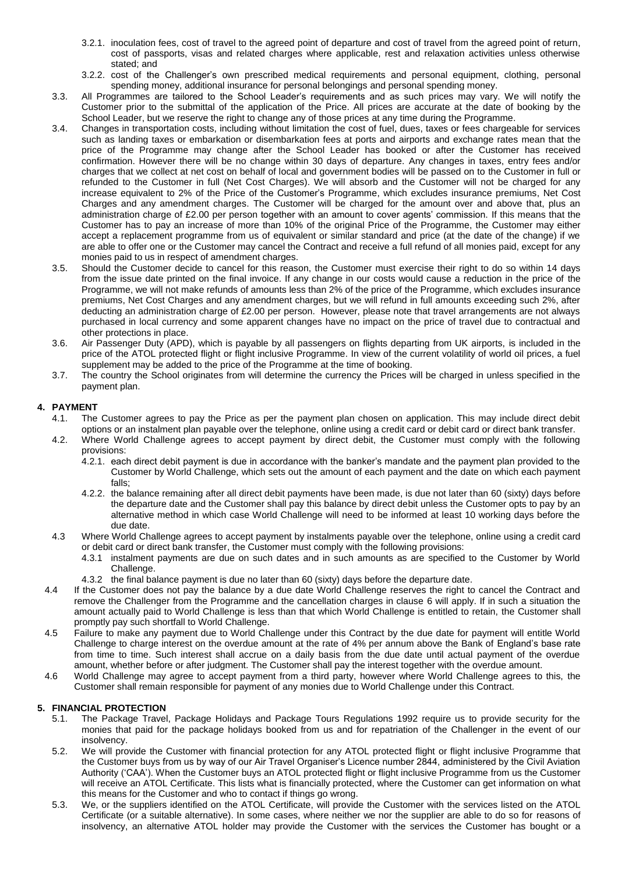- 3.2.1. inoculation fees, cost of travel to the agreed point of departure and cost of travel from the agreed point of return, cost of passports, visas and related charges where applicable, rest and relaxation activities unless otherwise stated; and
- 3.2.2. cost of the Challenger's own prescribed medical requirements and personal equipment, clothing, personal spending money, additional insurance for personal belongings and personal spending money.
- 3.3. All Programmes are tailored to the School Leader's requirements and as such prices may vary. We will notify the Customer prior to the submittal of the application of the Price. All prices are accurate at the date of booking by the School Leader, but we reserve the right to change any of those prices at any time during the Programme.
- 3.4. Changes in transportation costs, including without limitation the cost of fuel, dues, taxes or fees chargeable for services such as landing taxes or embarkation or disembarkation fees at ports and airports and exchange rates mean that the price of the Programme may change after the School Leader has booked or after the Customer has received confirmation. However there will be no change within 30 days of departure. Any changes in taxes, entry fees and/or charges that we collect at net cost on behalf of local and government bodies will be passed on to the Customer in full or refunded to the Customer in full (Net Cost Charges). We will absorb and the Customer will not be charged for any increase equivalent to 2% of the Price of the Customer's Programme, which excludes insurance premiums, Net Cost Charges and any amendment charges. The Customer will be charged for the amount over and above that, plus an administration charge of £2.00 per person together with an amount to cover agents' commission. If this means that the Customer has to pay an increase of more than 10% of the original Price of the Programme, the Customer may either accept a replacement programme from us of equivalent or similar standard and price (at the date of the change) if we are able to offer one or the Customer may cancel the Contract and receive a full refund of all monies paid, except for any monies paid to us in respect of amendment charges.
- 3.5. Should the Customer decide to cancel for this reason, the Customer must exercise their right to do so within 14 days from the issue date printed on the final invoice. If any change in our costs would cause a reduction in the price of the Programme, we will not make refunds of amounts less than 2% of the price of the Programme, which excludes insurance premiums, Net Cost Charges and any amendment charges, but we will refund in full amounts exceeding such 2%, after deducting an administration charge of £2.00 per person. However, please note that travel arrangements are not always purchased in local currency and some apparent changes have no impact on the price of travel due to contractual and other protections in place.
- 3.6. Air Passenger Duty (APD), which is payable by all passengers on flights departing from UK airports, is included in the price of the ATOL protected flight or flight inclusive Programme. In view of the current volatility of world oil prices, a fuel supplement may be added to the price of the Programme at the time of booking.
- 3.7. The country the School originates from will determine the currency the Prices will be charged in unless specified in the payment plan.

## **4. PAYMENT**

- 4.1. The Customer agrees to pay the Price as per the payment plan chosen on application. This may include direct debit options or an instalment plan payable over the telephone, online using a credit card or debit card or direct bank transfer.
- 4.2. Where World Challenge agrees to accept payment by direct debit, the Customer must comply with the following provisions:
	- 4.2.1. each direct debit payment is due in accordance with the banker's mandate and the payment plan provided to the Customer by World Challenge, which sets out the amount of each payment and the date on which each payment falls;
	- 4.2.2. the balance remaining after all direct debit payments have been made, is due not later than 60 (sixty) days before the departure date and the Customer shall pay this balance by direct debit unless the Customer opts to pay by an alternative method in which case World Challenge will need to be informed at least 10 working days before the due date.
- 4.3 Where World Challenge agrees to accept payment by instalments payable over the telephone, online using a credit card or debit card or direct bank transfer, the Customer must comply with the following provisions:
	- 4.3.1 instalment payments are due on such dates and in such amounts as are specified to the Customer by World Challenge.
	- 4.3.2 the final balance payment is due no later than 60 (sixty) days before the departure date.
- 4.4 If the Customer does not pay the balance by a due date World Challenge reserves the right to cancel the Contract and remove the Challenger from the Programme and the cancellation charges in clause 6 will apply. If in such a situation the amount actually paid to World Challenge is less than that which World Challenge is entitled to retain, the Customer shall promptly pay such shortfall to World Challenge.
- 4.5 Failure to make any payment due to World Challenge under this Contract by the due date for payment will entitle World Challenge to charge interest on the overdue amount at the rate of 4% per annum above the Bank of England's base rate from time to time. Such interest shall accrue on a daily basis from the due date until actual payment of the overdue amount, whether before or after judgment. The Customer shall pay the interest together with the overdue amount.
- 4.6 World Challenge may agree to accept payment from a third party, however where World Challenge agrees to this, the Customer shall remain responsible for payment of any monies due to World Challenge under this Contract.

## **5. FINANCIAL PROTECTION**

- 5.1. The Package Travel, Package Holidays and Package Tours Regulations 1992 require us to provide security for the monies that paid for the package holidays booked from us and for repatriation of the Challenger in the event of our insolvency.
- 5.2. We will provide the Customer with financial protection for any ATOL protected flight or flight inclusive Programme that the Customer buys from us by way of our Air Travel Organiser's Licence number 2844, administered by the Civil Aviation Authority ('CAA'). When the Customer buys an ATOL protected flight or flight inclusive Programme from us the Customer will receive an ATOL Certificate. This lists what is financially protected, where the Customer can get information on what this means for the Customer and who to contact if things go wrong.
- 5.3. We, or the suppliers identified on the ATOL Certificate, will provide the Customer with the services listed on the ATOL Certificate (or a suitable alternative). In some cases, where neither we nor the supplier are able to do so for reasons of insolvency, an alternative ATOL holder may provide the Customer with the services the Customer has bought or a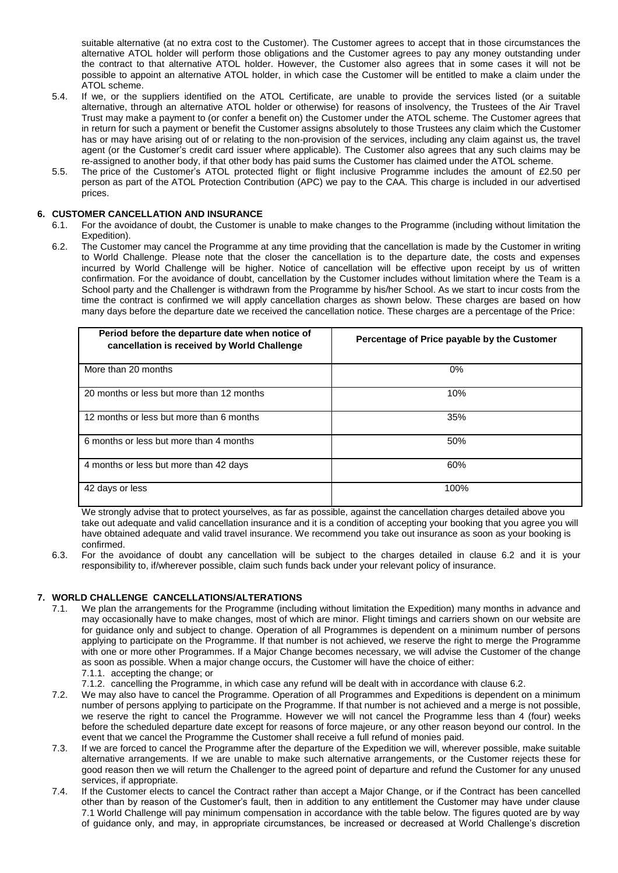suitable alternative (at no extra cost to the Customer). The Customer agrees to accept that in those circumstances the alternative ATOL holder will perform those obligations and the Customer agrees to pay any money outstanding under the contract to that alternative ATOL holder. However, the Customer also agrees that in some cases it will not be possible to appoint an alternative ATOL holder, in which case the Customer will be entitled to make a claim under the ATOL scheme.

- 5.4. If we, or the suppliers identified on the ATOL Certificate, are unable to provide the services listed (or a suitable alternative, through an alternative ATOL holder or otherwise) for reasons of insolvency, the Trustees of the Air Travel Trust may make a payment to (or confer a benefit on) the Customer under the ATOL scheme. The Customer agrees that in return for such a payment or benefit the Customer assigns absolutely to those Trustees any claim which the Customer has or may have arising out of or relating to the non-provision of the services, including any claim against us, the travel agent (or the Customer's credit card issuer where applicable). The Customer also agrees that any such claims may be re-assigned to another body, if that other body has paid sums the Customer has claimed under the ATOL scheme.
- 5.5. The price of the Customer's ATOL protected flight or flight inclusive Programme includes the amount of £2.50 per person as part of the ATOL Protection Contribution (APC) we pay to the CAA. This charge is included in our advertised prices.

# **6. CUSTOMER CANCELLATION AND INSURANCE**

- 6.1. For the avoidance of doubt, the Customer is unable to make changes to the Programme (including without limitation the Expedition).
- 6.2. The Customer may cancel the Programme at any time providing that the cancellation is made by the Customer in writing to World Challenge. Please note that the closer the cancellation is to the departure date, the costs and expenses incurred by World Challenge will be higher. Notice of cancellation will be effective upon receipt by us of written confirmation. For the avoidance of doubt, cancellation by the Customer includes without limitation where the Team is a School party and the Challenger is withdrawn from the Programme by his/her School. As we start to incur costs from the time the contract is confirmed we will apply cancellation charges as shown below. These charges are based on how many days before the departure date we received the cancellation notice. These charges are a percentage of the Price:

| Period before the departure date when notice of<br>cancellation is received by World Challenge | Percentage of Price payable by the Customer |
|------------------------------------------------------------------------------------------------|---------------------------------------------|
| More than 20 months                                                                            | 0%                                          |
| 20 months or less but more than 12 months                                                      | 10%                                         |
| 12 months or less but more than 6 months                                                       | 35%                                         |
| 6 months or less but more than 4 months                                                        | 50%                                         |
| 4 months or less but more than 42 days                                                         | 60%                                         |
| 42 days or less                                                                                | 100%                                        |

We strongly advise that to protect yourselves, as far as possible, against the cancellation charges detailed above you take out adequate and valid cancellation insurance and it is a condition of accepting your booking that you agree you will have obtained adequate and valid travel insurance. We recommend you take out insurance as soon as your booking is confirmed.

6.3. For the avoidance of doubt any cancellation will be subject to the charges detailed in clause 6.2 and it is your responsibility to, if/wherever possible, claim such funds back under your relevant policy of insurance.

## **7. WORLD CHALLENGE CANCELLATIONS/ALTERATIONS**

7.1. We plan the arrangements for the Programme (including without limitation the Expedition) many months in advance and may occasionally have to make changes, most of which are minor. Flight timings and carriers shown on our website are for guidance only and subject to change. Operation of all Programmes is dependent on a minimum number of persons applying to participate on the Programme. If that number is not achieved, we reserve the right to merge the Programme with one or more other Programmes. If a Major Change becomes necessary, we will advise the Customer of the change as soon as possible. When a major change occurs, the Customer will have the choice of either: 7.1.1. accepting the change; or

7.1.2. cancelling the Programme, in which case any refund will be dealt with in accordance with clause 6.2.

- 7.2. We may also have to cancel the Programme. Operation of all Programmes and Expeditions is dependent on a minimum number of persons applying to participate on the Programme. If that number is not achieved and a merge is not possible, we reserve the right to cancel the Programme. However we will not cancel the Programme less than 4 (four) weeks before the scheduled departure date except for reasons of force majeure, or any other reason beyond our control. In the event that we cancel the Programme the Customer shall receive a full refund of monies paid.
- 7.3. If we are forced to cancel the Programme after the departure of the Expedition we will, wherever possible, make suitable alternative arrangements. If we are unable to make such alternative arrangements, or the Customer rejects these for good reason then we will return the Challenger to the agreed point of departure and refund the Customer for any unused services, if appropriate.
- 7.4. If the Customer elects to cancel the Contract rather than accept a Major Change, or if the Contract has been cancelled other than by reason of the Customer's fault, then in addition to any entitlement the Customer may have under clause 7.1 World Challenge will pay minimum compensation in accordance with the table below. The figures quoted are by way of guidance only, and may, in appropriate circumstances, be increased or decreased at World Challenge's discretion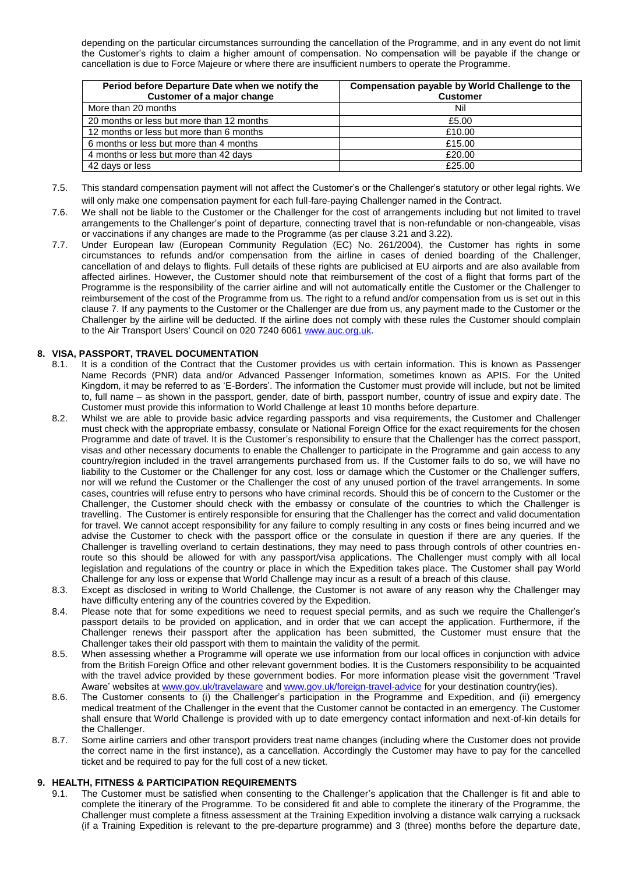depending on the particular circumstances surrounding the cancellation of the Programme, and in any event do not limit the Customer's rights to claim a higher amount of compensation. No compensation will be payable if the change or cancellation is due to Force Majeure or where there are insufficient numbers to operate the Programme.

| Period before Departure Date when we notify the<br>Customer of a major change | Compensation payable by World Challenge to the<br><b>Customer</b> |
|-------------------------------------------------------------------------------|-------------------------------------------------------------------|
| More than 20 months                                                           | Nil                                                               |
| 20 months or less but more than 12 months                                     | £5.00                                                             |
| 12 months or less but more than 6 months                                      | £10.00                                                            |
| 6 months or less but more than 4 months                                       | £15.00                                                            |
| 4 months or less but more than 42 days                                        | £20.00                                                            |
| 42 days or less                                                               | £25.00                                                            |

- 7.5. This standard compensation payment will not affect the Customer's or the Challenger's statutory or other legal rights. We will only make one compensation payment for each full-fare-paying Challenger named in the Contract.
- 7.6. We shall not be liable to the Customer or the Challenger for the cost of arrangements including but not limited to travel arrangements to the Challenger's point of departure, connecting travel that is non-refundable or non-changeable, visas or vaccinations if any changes are made to the Programme (as per clause 3.21 and 3.22).
- 7.7. Under European law (European Community Regulation (EC) No. 261/2004), the Customer has rights in some circumstances to refunds and/or compensation from the airline in cases of denied boarding of the Challenger, cancellation of and delays to flights. Full details of these rights are publicised at EU airports and are also available from affected airlines. However, the Customer should note that reimbursement of the cost of a flight that forms part of the Programme is the responsibility of the carrier airline and will not automatically entitle the Customer or the Challenger to reimbursement of the cost of the Programme from us. The right to a refund and/or compensation from us is set out in this clause 7. If any payments to the Customer or the Challenger are due from us, any payment made to the Customer or the Challenger by the airline will be deducted. If the airline does not comply with these rules the Customer should complain to the Air Transport Users' Council on 020 7240 606[1 www.auc.org.uk.](http://www.auc.org.uk/)

## **8. VISA, PASSPORT, TRAVEL DOCUMENTATION**

- 8.1. It is a condition of the Contract that the Customer provides us with certain information. This is known as Passenger Name Records (PNR) data and/or Advanced Passenger Information, sometimes known as APIS. For the United Kingdom, it may be referred to as 'E-Borders'. The information the Customer must provide will include, but not be limited to, full name – as shown in the passport, gender, date of birth, passport number, country of issue and expiry date. The Customer must provide this information to World Challenge at least 10 months before departure.
- 8.2. Whilst we are able to provide basic advice regarding passports and visa requirements, the Customer and Challenger must check with the appropriate embassy, consulate or National Foreign Office for the exact requirements for the chosen Programme and date of travel. It is the Customer's responsibility to ensure that the Challenger has the correct passport, visas and other necessary documents to enable the Challenger to participate in the Programme and gain access to any country/region included in the travel arrangements purchased from us. If the Customer fails to do so, we will have no liability to the Customer or the Challenger for any cost, loss or damage which the Customer or the Challenger suffers, nor will we refund the Customer or the Challenger the cost of any unused portion of the travel arrangements. In some cases, countries will refuse entry to persons who have criminal records. Should this be of concern to the Customer or the Challenger, the Customer should check with the embassy or consulate of the countries to which the Challenger is travelling. The Customer is entirely responsible for ensuring that the Challenger has the correct and valid documentation for travel. We cannot accept responsibility for any failure to comply resulting in any costs or fines being incurred and we advise the Customer to check with the passport office or the consulate in question if there are any queries. If the Challenger is travelling overland to certain destinations, they may need to pass through controls of other countries enroute so this should be allowed for with any passport/visa applications. The Challenger must comply with all local legislation and regulations of the country or place in which the Expedition takes place. The Customer shall pay World Challenge for any loss or expense that World Challenge may incur as a result of a breach of this clause.
- 8.3. Except as disclosed in writing to World Challenge, the Customer is not aware of any reason why the Challenger may have difficulty entering any of the countries covered by the Expedition.
- 8.4. Please note that for some expeditions we need to request special permits, and as such we require the Challenger's passport details to be provided on application, and in order that we can accept the application. Furthermore, if the Challenger renews their passport after the application has been submitted, the Customer must ensure that the Challenger takes their old passport with them to maintain the validity of the permit.
- 8.5. When assessing whether a Programme will operate we use information from our local offices in conjunction with advice from the British Foreign Office and other relevant government bodies. It is the Customers responsibility to be acquainted with the travel advice provided by these government bodies. For more information please visit the government 'Travel Aware' websites at [www.gov.uk/travelaware](http://www.gov.uk/travelaware) an[d www.gov.uk/foreign-travel-advice](http://www.gov.uk/foreign-travel-advice) for your destination country(ies).
- 8.6. The Customer consents to (i) the Challenger's participation in the Programme and Expedition, and (ii) emergency medical treatment of the Challenger in the event that the Customer cannot be contacted in an emergency. The Customer shall ensure that World Challenge is provided with up to date emergency contact information and next-of-kin details for the Challenger.
- 8.7. Some airline carriers and other transport providers treat name changes (including where the Customer does not provide the correct name in the first instance), as a cancellation. Accordingly the Customer may have to pay for the cancelled ticket and be required to pay for the full cost of a new ticket.

## **9. HEALTH, FITNESS & PARTICIPATION REQUIREMENTS**

9.1. The Customer must be satisfied when consenting to the Challenger's application that the Challenger is fit and able to complete the itinerary of the Programme. To be considered fit and able to complete the itinerary of the Programme, the Challenger must complete a fitness assessment at the Training Expedition involving a distance walk carrying a rucksack (if a Training Expedition is relevant to the pre-departure programme) and 3 (three) months before the departure date,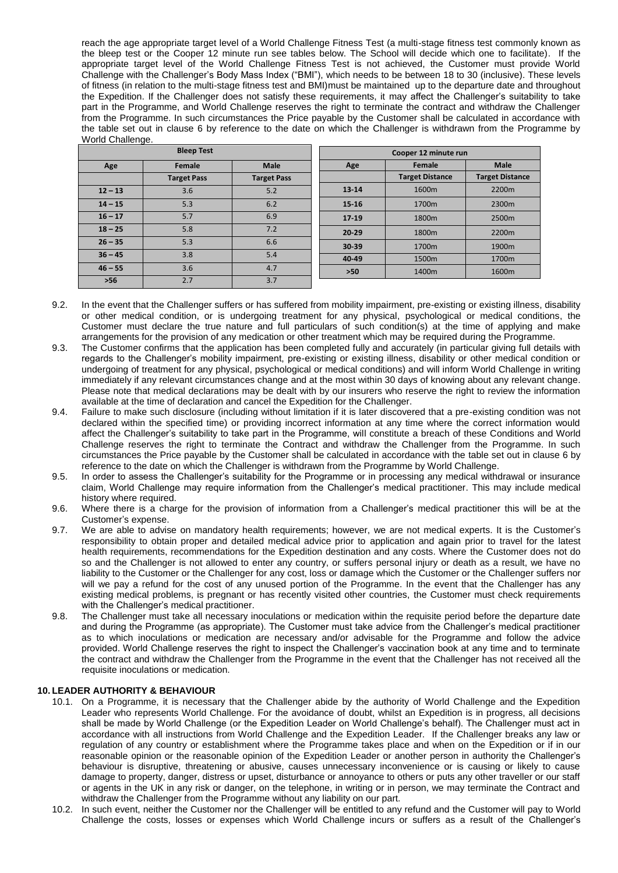reach the age appropriate target level of a World Challenge Fitness Test (a multi-stage fitness test commonly known as the bleep test or the Cooper 12 minute run see tables below. The School will decide which one to facilitate). If the appropriate target level of the World Challenge Fitness Test is not achieved, the Customer must provide World Challenge with the Challenger's Body Mass Index ("BMI"), which needs to be between 18 to 30 (inclusive). These levels of fitness (in relation to the multi-stage fitness test and BMI)must be maintained up to the departure date and throughout the Expedition. If the Challenger does not satisfy these requirements, it may affect the Challenger's suitability to take part in the Programme, and World Challenge reserves the right to terminate the contract and withdraw the Challenger from the Programme. In such circumstances the Price payable by the Customer shall be calculated in accordance with the table set out in clause 6 by reference to the date on which the Challenger is withdrawn from the Programme by World Challenge.

| <b>Bleep Test</b> |                    | Cooper 12 minute run |           |                        |                        |
|-------------------|--------------------|----------------------|-----------|------------------------|------------------------|
| Age               | Female             | <b>Male</b>          | Age       | Female                 | <b>Male</b>            |
|                   | <b>Target Pass</b> | <b>Target Pass</b>   |           | <b>Target Distance</b> | <b>Target Distance</b> |
| $12 - 13$         | 3.6                | 5.2                  | 13-14     | 1600m                  | 2200 <sub>m</sub>      |
| $14 - 15$         | 5.3                | 6.2                  | 15-16     | 1700m                  | 2300m                  |
| $16 - 17$         | 5.7                | 6.9                  | $17-19$   | 1800m                  | 2500m                  |
| $18 - 25$         | 5.8                | 7.2                  | $20 - 29$ | 1800m                  | 2200 <sub>m</sub>      |
| $26 - 35$         | 5.3                | 6.6                  | 30-39     | 1700m                  | 1900 <sub>m</sub>      |
| $36 - 45$         | 3.8                | 5.4                  | 40-49     | 1500m                  | 1700m                  |
| $46 - 55$         | 3.6                | 4.7                  | $>50$     | 1400m                  | 1600m                  |
| $>56$             | 2.7                | 3.7                  |           |                        |                        |

- 9.2. In the event that the Challenger suffers or has suffered from mobility impairment, pre-existing or existing illness, disability or other medical condition, or is undergoing treatment for any physical, psychological or medical conditions, the Customer must declare the true nature and full particulars of such condition(s) at the time of applying and make arrangements for the provision of any medication or other treatment which may be required during the Programme.
- 9.3. The Customer confirms that the application has been completed fully and accurately (in particular giving full details with regards to the Challenger's mobility impairment, pre-existing or existing illness, disability or other medical condition or undergoing of treatment for any physical, psychological or medical conditions) and will inform World Challenge in writing immediately if any relevant circumstances change and at the most within 30 days of knowing about any relevant change. Please note that medical declarations may be dealt with by our insurers who reserve the right to review the information available at the time of declaration and cancel the Expedition for the Challenger.
- 9.4. Failure to make such disclosure (including without limitation if it is later discovered that a pre-existing condition was not declared within the specified time) or providing incorrect information at any time where the correct information would affect the Challenger's suitability to take part in the Programme, will constitute a breach of these Conditions and World Challenge reserves the right to terminate the Contract and withdraw the Challenger from the Programme. In such circumstances the Price payable by the Customer shall be calculated in accordance with the table set out in clause 6 by reference to the date on which the Challenger is withdrawn from the Programme by World Challenge.
- 9.5. In order to assess the Challenger's suitability for the Programme or in processing any medical withdrawal or insurance claim, World Challenge may require information from the Challenger's medical practitioner. This may include medical history where required.
- 9.6. Where there is a charge for the provision of information from a Challenger's medical practitioner this will be at the Customer's expense.
- 9.7. We are able to advise on mandatory health requirements; however, we are not medical experts. It is the Customer's responsibility to obtain proper and detailed medical advice prior to application and again prior to travel for the latest health requirements, recommendations for the Expedition destination and any costs. Where the Customer does not do so and the Challenger is not allowed to enter any country, or suffers personal injury or death as a result, we have no liability to the Customer or the Challenger for any cost, loss or damage which the Customer or the Challenger suffers nor will we pay a refund for the cost of any unused portion of the Programme. In the event that the Challenger has any existing medical problems, is pregnant or has recently visited other countries, the Customer must check requirements with the Challenger's medical practitioner.
- 9.8. The Challenger must take all necessary inoculations or medication within the requisite period before the departure date and during the Programme (as appropriate). The Customer must take advice from the Challenger's medical practitioner as to which inoculations or medication are necessary and/or advisable for the Programme and follow the advice provided. World Challenge reserves the right to inspect the Challenger's vaccination book at any time and to terminate the contract and withdraw the Challenger from the Programme in the event that the Challenger has not received all the requisite inoculations or medication.

## **10. LEADER AUTHORITY & BEHAVIOUR**

- 10.1. On a Programme, it is necessary that the Challenger abide by the authority of World Challenge and the Expedition Leader who represents World Challenge. For the avoidance of doubt, whilst an Expedition is in progress, all decisions shall be made by World Challenge (or the Expedition Leader on World Challenge's behalf). The Challenger must act in accordance with all instructions from World Challenge and the Expedition Leader. If the Challenger breaks any law or regulation of any country or establishment where the Programme takes place and when on the Expedition or if in our reasonable opinion or the reasonable opinion of the Expedition Leader or another person in authority the Challenger's behaviour is disruptive, threatening or abusive, causes unnecessary inconvenience or is causing or likely to cause damage to property, danger, distress or upset, disturbance or annoyance to others or puts any other traveller or our staff or agents in the UK in any risk or danger, on the telephone, in writing or in person, we may terminate the Contract and withdraw the Challenger from the Programme without any liability on our part.
- 10.2. In such event, neither the Customer nor the Challenger will be entitled to any refund and the Customer will pay to World Challenge the costs, losses or expenses which World Challenge incurs or suffers as a result of the Challenger's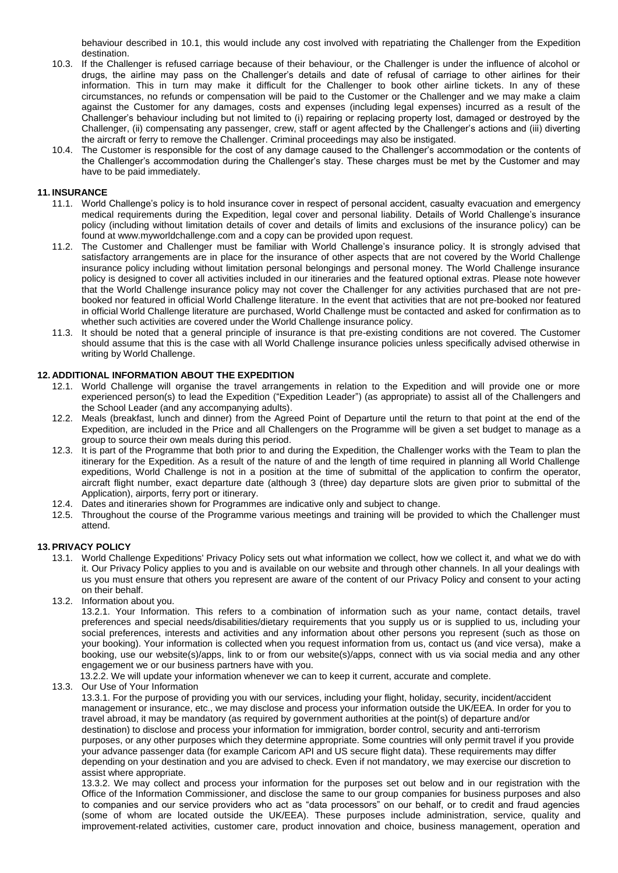behaviour described in 10.1, this would include any cost involved with repatriating the Challenger from the Expedition destination.

- 10.3. If the Challenger is refused carriage because of their behaviour, or the Challenger is under the influence of alcohol or drugs, the airline may pass on the Challenger's details and date of refusal of carriage to other airlines for their information. This in turn may make it difficult for the Challenger to book other airline tickets. In any of these circumstances, no refunds or compensation will be paid to the Customer or the Challenger and we may make a claim against the Customer for any damages, costs and expenses (including legal expenses) incurred as a result of the Challenger's behaviour including but not limited to (i) repairing or replacing property lost, damaged or destroyed by the Challenger, (ii) compensating any passenger, crew, staff or agent affected by the Challenger's actions and (iii) diverting the aircraft or ferry to remove the Challenger. Criminal proceedings may also be instigated.
- 10.4. The Customer is responsible for the cost of any damage caused to the Challenger's accommodation or the contents of the Challenger's accommodation during the Challenger's stay. These charges must be met by the Customer and may have to be paid immediately.

#### **11. INSURANCE**

- 11.1. World Challenge's policy is to hold insurance cover in respect of personal accident, casualty evacuation and emergency medical requirements during the Expedition, legal cover and personal liability. Details of World Challenge's insurance policy (including without limitation details of cover and details of limits and exclusions of the insurance policy) can be found at www.myworldchallenge.com and a copy can be provided upon request.
- 11.2. The Customer and Challenger must be familiar with World Challenge's insurance policy. It is strongly advised that satisfactory arrangements are in place for the insurance of other aspects that are not covered by the World Challenge insurance policy including without limitation personal belongings and personal money. The World Challenge insurance policy is designed to cover all activities included in our itineraries and the featured optional extras. Please note however that the World Challenge insurance policy may not cover the Challenger for any activities purchased that are not prebooked nor featured in official World Challenge literature. In the event that activities that are not pre-booked nor featured in official World Challenge literature are purchased, World Challenge must be contacted and asked for confirmation as to whether such activities are covered under the World Challenge insurance policy.
- 11.3. It should be noted that a general principle of insurance is that pre-existing conditions are not covered. The Customer should assume that this is the case with all World Challenge insurance policies unless specifically advised otherwise in writing by World Challenge.

#### **12. ADDITIONAL INFORMATION ABOUT THE EXPEDITION**

- 12.1. World Challenge will organise the travel arrangements in relation to the Expedition and will provide one or more experienced person(s) to lead the Expedition ("Expedition Leader") (as appropriate) to assist all of the Challengers and the School Leader (and any accompanying adults).
- 12.2. Meals (breakfast, lunch and dinner) from the Agreed Point of Departure until the return to that point at the end of the Expedition, are included in the Price and all Challengers on the Programme will be given a set budget to manage as a group to source their own meals during this period.
- 12.3. It is part of the Programme that both prior to and during the Expedition, the Challenger works with the Team to plan the itinerary for the Expedition. As a result of the nature of and the length of time required in planning all World Challenge expeditions, World Challenge is not in a position at the time of submittal of the application to confirm the operator, aircraft flight number, exact departure date (although 3 (three) day departure slots are given prior to submittal of the Application), airports, ferry port or itinerary.
- 12.4. Dates and itineraries shown for Programmes are indicative only and subject to change.
- 12.5. Throughout the course of the Programme various meetings and training will be provided to which the Challenger must attend.

#### **13. PRIVACY POLICY**

- 13.1. World Challenge Expeditions' Privacy Policy sets out what information we collect, how we collect it, and what we do with it. Our Privacy Policy applies to you and is available on our website and through other channels. In all your dealings with us you must ensure that others you represent are aware of the content of our Privacy Policy and consent to your acting on their behalf.
- 13.2. Information about you.

13.2.1. Your Information. This refers to a combination of information such as your name, contact details, travel preferences and special needs/disabilities/dietary requirements that you supply us or is supplied to us, including your social preferences, interests and activities and any information about other persons you represent (such as those on your booking). Your information is collected when you request information from us, contact us (and vice versa), make a booking, use our website(s)/apps, link to or from our website(s)/apps, connect with us via social media and any other engagement we or our business partners have with you.

13.2.2. We will update your information whenever we can to keep it current, accurate and complete.

13.3. Our Use of Your Information

13.3.1. For the purpose of providing you with our services, including your flight, holiday, security, incident/accident management or insurance, etc., we may disclose and process your information outside the UK/EEA. In order for you to travel abroad, it may be mandatory (as required by government authorities at the point(s) of departure and/or destination) to disclose and process your information for immigration, border control, security and anti-terrorism purposes, or any other purposes which they determine appropriate. Some countries will only permit travel if you provide your advance passenger data (for example Caricom API and US secure flight data). These requirements may differ depending on your destination and you are advised to check. Even if not mandatory, we may exercise our discretion to assist where appropriate.

13.3.2. We may collect and process your information for the purposes set out below and in our registration with the Office of the Information Commissioner, and disclose the same to our group companies for business purposes and also to companies and our service providers who act as "data processors" on our behalf, or to credit and fraud agencies (some of whom are located outside the UK/EEA). These purposes include administration, service, quality and improvement-related activities, customer care, product innovation and choice, business management, operation and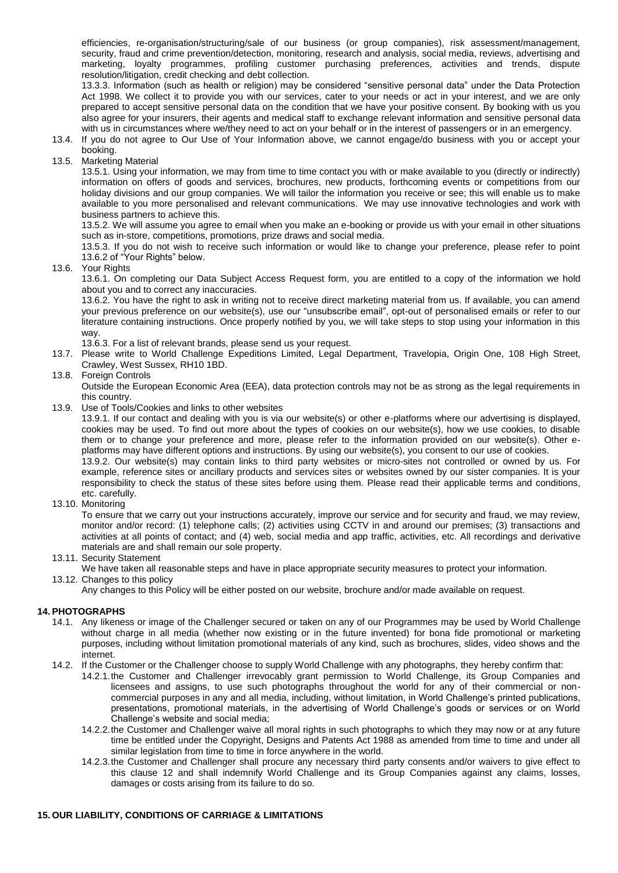efficiencies, re-organisation/structuring/sale of our business (or group companies), risk assessment/management, security, fraud and crime prevention/detection, monitoring, research and analysis, social media, reviews, advertising and marketing, loyalty programmes, profiling customer purchasing preferences, activities and trends, dispute resolution/litigation, credit checking and debt collection.

13.3.3. Information (such as health or religion) may be considered "sensitive personal data" under the Data Protection Act 1998. We collect it to provide you with our services, cater to your needs or act in your interest, and we are only prepared to accept sensitive personal data on the condition that we have your positive consent. By booking with us you also agree for your insurers, their agents and medical staff to exchange relevant information and sensitive personal data with us in circumstances where we/they need to act on your behalf or in the interest of passengers or in an emergency.

- 13.4. If you do not agree to Our Use of Your Information above, we cannot engage/do business with you or accept your booking.
- 13.5. Marketing Material

13.5.1. Using your information, we may from time to time contact you with or make available to you (directly or indirectly) information on offers of goods and services, brochures, new products, forthcoming events or competitions from our holiday divisions and our group companies. We will tailor the information you receive or see; this will enable us to make available to you more personalised and relevant communications. We may use innovative technologies and work with business partners to achieve this.

13.5.2. We will assume you agree to email when you make an e-booking or provide us with your email in other situations such as in-store, competitions, promotions, prize draws and social media.

13.5.3. If you do not wish to receive such information or would like to change your preference, please refer to point 13.6.2 of "Your Rights" below.

13.6. Your Rights

13.6.1. On completing our Data Subject Access Request form, you are entitled to a copy of the information we hold about you and to correct any inaccuracies.

13.6.2. You have the right to ask in writing not to receive direct marketing material from us. If available, you can amend your previous preference on our website(s), use our "unsubscribe email", opt-out of personalised emails or refer to our literature containing instructions. Once properly notified by you, we will take steps to stop using your information in this way.

13.6.3. For a list of relevant brands, please send us your request.

13.7. Please write to World Challenge Expeditions Limited, Legal Department, Travelopia, Origin One, 108 High Street, Crawley, West Sussex, RH10 1BD.

# 13.8. Foreign Controls

Outside the European Economic Area (EEA), data protection controls may not be as strong as the legal requirements in this country.

13.9. Use of Tools/Cookies and links to other websites

13.9.1. If our contact and dealing with you is via our website(s) or other e-platforms where our advertising is displayed, cookies may be used. To find out more about the types of cookies on our website(s), how we use cookies, to disable them or to change your preference and more, please refer to the information provided on our website(s). Other eplatforms may have different options and instructions. By using our website(s), you consent to our use of cookies.

13.9.2. Our website(s) may contain links to third party websites or micro-sites not controlled or owned by us. For example, reference sites or ancillary products and services sites or websites owned by our sister companies. It is your responsibility to check the status of these sites before using them. Please read their applicable terms and conditions, etc. carefully.

13.10. Monitoring

To ensure that we carry out your instructions accurately, improve our service and for security and fraud, we may review, monitor and/or record: (1) telephone calls; (2) activities using CCTV in and around our premises; (3) transactions and activities at all points of contact; and (4) web, social media and app traffic, activities, etc. All recordings and derivative materials are and shall remain our sole property.

- 13.11. Security Statement
- We have taken all reasonable steps and have in place appropriate security measures to protect your information. 13.12. Changes to this policy

Any changes to this Policy will be either posted on our website, brochure and/or made available on request.

#### **14. PHOTOGRAPHS**

- 14.1. Any likeness or image of the Challenger secured or taken on any of our Programmes may be used by World Challenge without charge in all media (whether now existing or in the future invented) for bona fide promotional or marketing purposes, including without limitation promotional materials of any kind, such as brochures, slides, video shows and the internet.
- 14.2. If the Customer or the Challenger choose to supply World Challenge with any photographs, they hereby confirm that:
	- 14.2.1.the Customer and Challenger irrevocably grant permission to World Challenge, its Group Companies and licensees and assigns, to use such photographs throughout the world for any of their commercial or noncommercial purposes in any and all media, including, without limitation, in World Challenge's printed publications, presentations, promotional materials, in the advertising of World Challenge's goods or services or on World Challenge's website and social media;
	- 14.2.2.the Customer and Challenger waive all moral rights in such photographs to which they may now or at any future time be entitled under the Copyright, Designs and Patents Act 1988 as amended from time to time and under all similar legislation from time to time in force anywhere in the world.
	- 14.2.3.the Customer and Challenger shall procure any necessary third party consents and/or waivers to give effect to this clause 12 and shall indemnify World Challenge and its Group Companies against any claims, losses, damages or costs arising from its failure to do so.

## **15. OUR LIABILITY, CONDITIONS OF CARRIAGE & LIMITATIONS**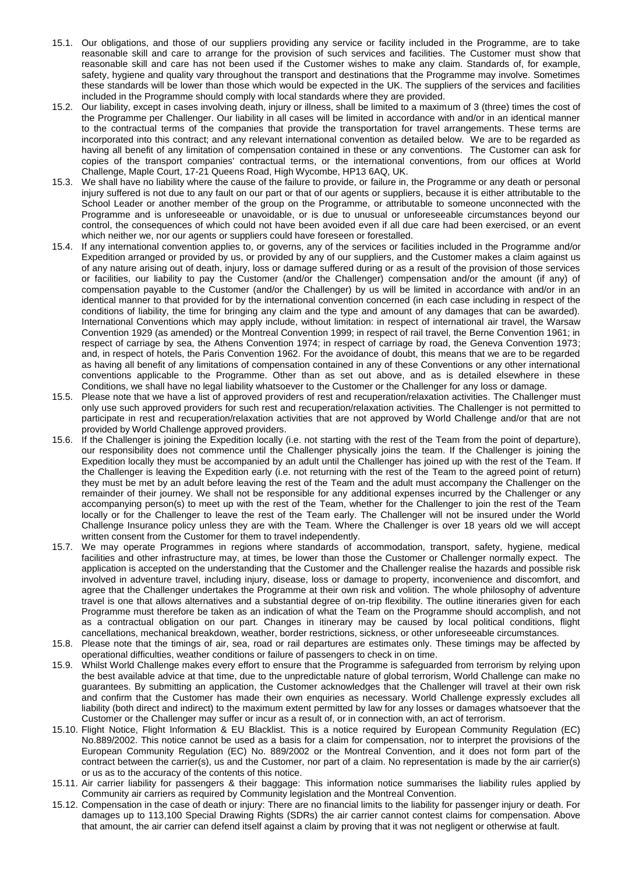- 15.1. Our obligations, and those of our suppliers providing any service or facility included in the Programme, are to take reasonable skill and care to arrange for the provision of such services and facilities. The Customer must show that reasonable skill and care has not been used if the Customer wishes to make any claim. Standards of, for example, safety, hygiene and quality vary throughout the transport and destinations that the Programme may involve. Sometimes these standards will be lower than those which would be expected in the UK. The suppliers of the services and facilities included in the Programme should comply with local standards where they are provided.
- 15.2. Our liability, except in cases involving death, injury or illness, shall be limited to a maximum of 3 (three) times the cost of the Programme per Challenger. Our liability in all cases will be limited in accordance with and/or in an identical manner to the contractual terms of the companies that provide the transportation for travel arrangements. These terms are incorporated into this contract; and any relevant international convention as detailed below. We are to be regarded as having all benefit of any limitation of compensation contained in these or any conventions. The Customer can ask for copies of the transport companies' contractual terms, or the international conventions, from our offices at World Challenge, Maple Court, 17-21 Queens Road, High Wycombe, HP13 6AQ, UK.
- 15.3. We shall have no liability where the cause of the failure to provide, or failure in, the Programme or any death or personal injury suffered is not due to any fault on our part or that of our agents or suppliers, because it is either attributable to the School Leader or another member of the group on the Programme, or attributable to someone unconnected with the Programme and is unforeseeable or unavoidable, or is due to unusual or unforeseeable circumstances beyond our control, the consequences of which could not have been avoided even if all due care had been exercised, or an event which neither we, nor our agents or suppliers could have foreseen or forestalled.
- 15.4. If any international convention applies to, or governs, any of the services or facilities included in the Programme and/or Expedition arranged or provided by us, or provided by any of our suppliers, and the Customer makes a claim against us of any nature arising out of death, injury, loss or damage suffered during or as a result of the provision of those services or facilities, our liability to pay the Customer (and/or the Challenger) compensation and/or the amount (if any) of compensation payable to the Customer (and/or the Challenger) by us will be limited in accordance with and/or in an identical manner to that provided for by the international convention concerned (in each case including in respect of the conditions of liability, the time for bringing any claim and the type and amount of any damages that can be awarded). International Conventions which may apply include, without limitation: in respect of international air travel, the Warsaw Convention 1929 (as amended) or the Montreal Convention 1999; in respect of rail travel, the Berne Convention 1961; in respect of carriage by sea, the Athens Convention 1974; in respect of carriage by road, the Geneva Convention 1973; and, in respect of hotels, the Paris Convention 1962. For the avoidance of doubt, this means that we are to be regarded as having all benefit of any limitations of compensation contained in any of these Conventions or any other international conventions applicable to the Programme. Other than as set out above, and as is detailed elsewhere in these Conditions, we shall have no legal liability whatsoever to the Customer or the Challenger for any loss or damage.
- 15.5. Please note that we have a list of approved providers of rest and recuperation/relaxation activities. The Challenger must only use such approved providers for such rest and recuperation/relaxation activities. The Challenger is not permitted to participate in rest and recuperation/relaxation activities that are not approved by World Challenge and/or that are not provided by World Challenge approved providers.
- 15.6. If the Challenger is joining the Expedition locally (i.e. not starting with the rest of the Team from the point of departure), our responsibility does not commence until the Challenger physically joins the team. If the Challenger is joining the Expedition locally they must be accompanied by an adult until the Challenger has joined up with the rest of the Team. If the Challenger is leaving the Expedition early (i.e. not returning with the rest of the Team to the agreed point of return) they must be met by an adult before leaving the rest of the Team and the adult must accompany the Challenger on the remainder of their journey. We shall not be responsible for any additional expenses incurred by the Challenger or any accompanying person(s) to meet up with the rest of the Team, whether for the Challenger to join the rest of the Team locally or for the Challenger to leave the rest of the Team early. The Challenger will not be insured under the World Challenge Insurance policy unless they are with the Team. Where the Challenger is over 18 years old we will accept written consent from the Customer for them to travel independently.
- 15.7. We may operate Programmes in regions where standards of accommodation, transport, safety, hygiene, medical facilities and other infrastructure may, at times, be lower than those the Customer or Challenger normally expect. The application is accepted on the understanding that the Customer and the Challenger realise the hazards and possible risk involved in adventure travel, including injury, disease, loss or damage to property, inconvenience and discomfort, and agree that the Challenger undertakes the Programme at their own risk and volition. The whole philosophy of adventure travel is one that allows alternatives and a substantial degree of on-trip flexibility. The outline itineraries given for each Programme must therefore be taken as an indication of what the Team on the Programme should accomplish, and not as a contractual obligation on our part. Changes in itinerary may be caused by local political conditions, flight cancellations, mechanical breakdown, weather, border restrictions, sickness, or other unforeseeable circumstances.
- 15.8. Please note that the timings of air, sea, road or rail departures are estimates only. These timings may be affected by operational difficulties, weather conditions or failure of passengers to check in on time.
- 15.9. Whilst World Challenge makes every effort to ensure that the Programme is safeguarded from terrorism by relying upon the best available advice at that time, due to the unpredictable nature of global terrorism, World Challenge can make no guarantees. By submitting an application, the Customer acknowledges that the Challenger will travel at their own risk and confirm that the Customer has made their own enquiries as necessary. World Challenge expressly excludes all liability (both direct and indirect) to the maximum extent permitted by law for any losses or damages whatsoever that the Customer or the Challenger may suffer or incur as a result of, or in connection with, an act of terrorism.
- 15.10. Flight Notice, Flight Information & EU Blacklist. This is a notice required by European Community Regulation (EC) No.889/2002. This notice cannot be used as a basis for a claim for compensation, nor to interpret the provisions of the European Community Regulation (EC) No. 889/2002 or the Montreal Convention, and it does not form part of the contract between the carrier(s), us and the Customer, nor part of a claim. No representation is made by the air carrier(s) or us as to the accuracy of the contents of this notice.
- 15.11. Air carrier liability for passengers & their baggage: This information notice summarises the liability rules applied by Community air carriers as required by Community legislation and the Montreal Convention.
- 15.12. Compensation in the case of death or injury: There are no financial limits to the liability for passenger injury or death. For damages up to 113,100 Special Drawing Rights (SDRs) the air carrier cannot contest claims for compensation. Above that amount, the air carrier can defend itself against a claim by proving that it was not negligent or otherwise at fault.